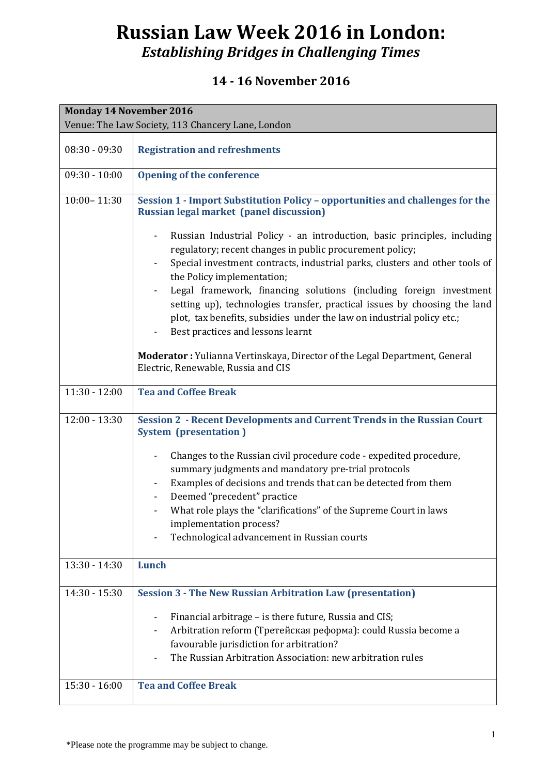# **Russian Law Week 2016 in London:** *Establishing Bridges in Challenging Times*

#### **14 - 16 November 2016**

| <b>Monday 14 November 2016</b>                    |                                                                                                                                                                                                                                                                                                                                                                                                                                                                                                                                                                                                                                                        |  |
|---------------------------------------------------|--------------------------------------------------------------------------------------------------------------------------------------------------------------------------------------------------------------------------------------------------------------------------------------------------------------------------------------------------------------------------------------------------------------------------------------------------------------------------------------------------------------------------------------------------------------------------------------------------------------------------------------------------------|--|
| Venue: The Law Society, 113 Chancery Lane, London |                                                                                                                                                                                                                                                                                                                                                                                                                                                                                                                                                                                                                                                        |  |
| $08:30 - 09:30$                                   | <b>Registration and refreshments</b>                                                                                                                                                                                                                                                                                                                                                                                                                                                                                                                                                                                                                   |  |
| $09:30 - 10:00$                                   | <b>Opening of the conference</b>                                                                                                                                                                                                                                                                                                                                                                                                                                                                                                                                                                                                                       |  |
| $10:00 - 11:30$                                   | Session 1 - Import Substitution Policy - opportunities and challenges for the<br><b>Russian legal market (panel discussion)</b><br>Russian Industrial Policy - an introduction, basic principles, including<br>regulatory; recent changes in public procurement policy;<br>Special investment contracts, industrial parks, clusters and other tools of<br>the Policy implementation;<br>Legal framework, financing solutions (including foreign investment<br>setting up), technologies transfer, practical issues by choosing the land<br>plot, tax benefits, subsidies under the law on industrial policy etc.;<br>Best practices and lessons learnt |  |
|                                                   | Moderator : Yulianna Vertinskaya, Director of the Legal Department, General<br>Electric, Renewable, Russia and CIS                                                                                                                                                                                                                                                                                                                                                                                                                                                                                                                                     |  |
| $11:30 - 12:00$                                   | <b>Tea and Coffee Break</b>                                                                                                                                                                                                                                                                                                                                                                                                                                                                                                                                                                                                                            |  |
| $12:00 - 13:30$                                   | <b>Session 2 - Recent Developments and Current Trends in the Russian Court</b><br><b>System (presentation)</b><br>Changes to the Russian civil procedure code - expedited procedure,<br>summary judgments and mandatory pre-trial protocols                                                                                                                                                                                                                                                                                                                                                                                                            |  |
|                                                   | Examples of decisions and trends that can be detected from them<br>Deemed "precedent" practice<br>What role plays the "clarifications" of the Supreme Court in laws<br>-<br>implementation process?<br>Technological advancement in Russian courts                                                                                                                                                                                                                                                                                                                                                                                                     |  |
| $13:30 - 14:30$                                   | Lunch                                                                                                                                                                                                                                                                                                                                                                                                                                                                                                                                                                                                                                                  |  |
| $14:30 - 15:30$                                   | <b>Session 3 - The New Russian Arbitration Law (presentation)</b><br>Financial arbitrage - is there future, Russia and CIS;<br>Arbitration reform (Третейская реформа): could Russia become a<br>favourable jurisdiction for arbitration?<br>The Russian Arbitration Association: new arbitration rules                                                                                                                                                                                                                                                                                                                                                |  |
| $15:30 - 16:00$                                   | <b>Tea and Coffee Break</b>                                                                                                                                                                                                                                                                                                                                                                                                                                                                                                                                                                                                                            |  |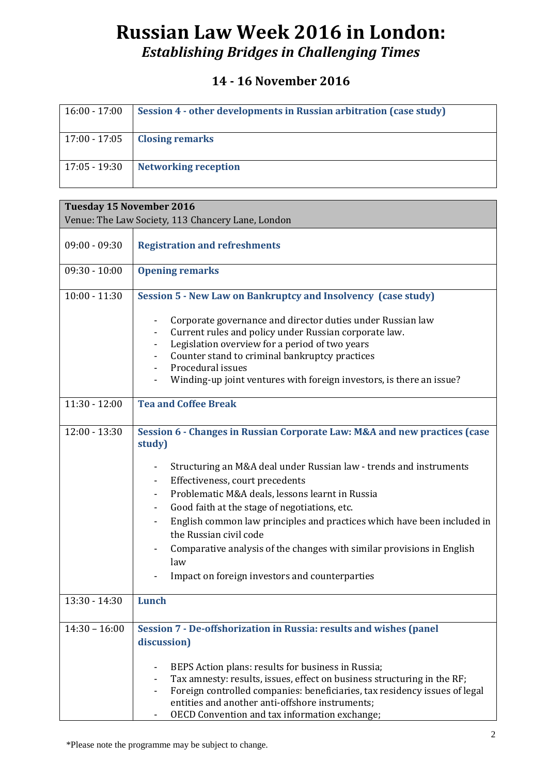# **Russian Law Week 2016 in London:** *Establishing Bridges in Challenging Times*

### **14 - 16 November 2016**

| $16:00 - 17:00$ | Session 4 - other developments in Russian arbitration (case study) |
|-----------------|--------------------------------------------------------------------|
|                 | $17:00 - 17:05$   Closing remarks                                  |
| $17:05 - 19:30$ | <b>Networking reception</b>                                        |

| <b>Tuesday 15 November 2016</b><br>Venue: The Law Society, 113 Chancery Lane, London |                                                                                                                                                                                                                                                                                                                                                                                                                                     |  |
|--------------------------------------------------------------------------------------|-------------------------------------------------------------------------------------------------------------------------------------------------------------------------------------------------------------------------------------------------------------------------------------------------------------------------------------------------------------------------------------------------------------------------------------|--|
|                                                                                      |                                                                                                                                                                                                                                                                                                                                                                                                                                     |  |
| $09:00 - 09:30$                                                                      | <b>Registration and refreshments</b>                                                                                                                                                                                                                                                                                                                                                                                                |  |
| $09:30 - 10:00$                                                                      | <b>Opening remarks</b>                                                                                                                                                                                                                                                                                                                                                                                                              |  |
| $10:00 - 11:30$                                                                      | Session 5 - New Law on Bankruptcy and Insolvency (case study)                                                                                                                                                                                                                                                                                                                                                                       |  |
|                                                                                      | Corporate governance and director duties under Russian law<br>$\qquad \qquad \blacksquare$                                                                                                                                                                                                                                                                                                                                          |  |
|                                                                                      | Current rules and policy under Russian corporate law.                                                                                                                                                                                                                                                                                                                                                                               |  |
|                                                                                      | Legislation overview for a period of two years                                                                                                                                                                                                                                                                                                                                                                                      |  |
|                                                                                      | Counter stand to criminal bankruptcy practices                                                                                                                                                                                                                                                                                                                                                                                      |  |
|                                                                                      |                                                                                                                                                                                                                                                                                                                                                                                                                                     |  |
|                                                                                      |                                                                                                                                                                                                                                                                                                                                                                                                                                     |  |
| $11:30 - 12:00$                                                                      | <b>Tea and Coffee Break</b>                                                                                                                                                                                                                                                                                                                                                                                                         |  |
| $12:00 - 13:30$                                                                      | Session 6 - Changes in Russian Corporate Law: M&A and new practices (case<br>study)                                                                                                                                                                                                                                                                                                                                                 |  |
|                                                                                      | Structuring an M&A deal under Russian law - trends and instruments                                                                                                                                                                                                                                                                                                                                                                  |  |
|                                                                                      | Effectiveness, court precedents<br>۰                                                                                                                                                                                                                                                                                                                                                                                                |  |
|                                                                                      | Problematic M&A deals, lessons learnt in Russia                                                                                                                                                                                                                                                                                                                                                                                     |  |
|                                                                                      | Good faith at the stage of negotiations, etc.                                                                                                                                                                                                                                                                                                                                                                                       |  |
|                                                                                      | English common law principles and practices which have been included in<br>the Russian civil code                                                                                                                                                                                                                                                                                                                                   |  |
|                                                                                      | Comparative analysis of the changes with similar provisions in English                                                                                                                                                                                                                                                                                                                                                              |  |
|                                                                                      | Impact on foreign investors and counterparties                                                                                                                                                                                                                                                                                                                                                                                      |  |
| $13:30 - 14:30$                                                                      | Lunch                                                                                                                                                                                                                                                                                                                                                                                                                               |  |
| $14:30 - 16:00$                                                                      |                                                                                                                                                                                                                                                                                                                                                                                                                                     |  |
|                                                                                      | discussion)                                                                                                                                                                                                                                                                                                                                                                                                                         |  |
|                                                                                      |                                                                                                                                                                                                                                                                                                                                                                                                                                     |  |
|                                                                                      | BEPS Action plans: results for business in Russia;                                                                                                                                                                                                                                                                                                                                                                                  |  |
|                                                                                      |                                                                                                                                                                                                                                                                                                                                                                                                                                     |  |
|                                                                                      |                                                                                                                                                                                                                                                                                                                                                                                                                                     |  |
|                                                                                      |                                                                                                                                                                                                                                                                                                                                                                                                                                     |  |
|                                                                                      | Procedural issues<br>Winding-up joint ventures with foreign investors, is there an issue?<br>law<br>Session 7 - De-offshorization in Russia: results and wishes (panel<br>Tax amnesty: results, issues, effect on business structuring in the RF;<br>Foreign controlled companies: beneficiaries, tax residency issues of legal<br>entities and another anti-offshore instruments;<br>OECD Convention and tax information exchange; |  |

\*Please note the programme may be subject to change.